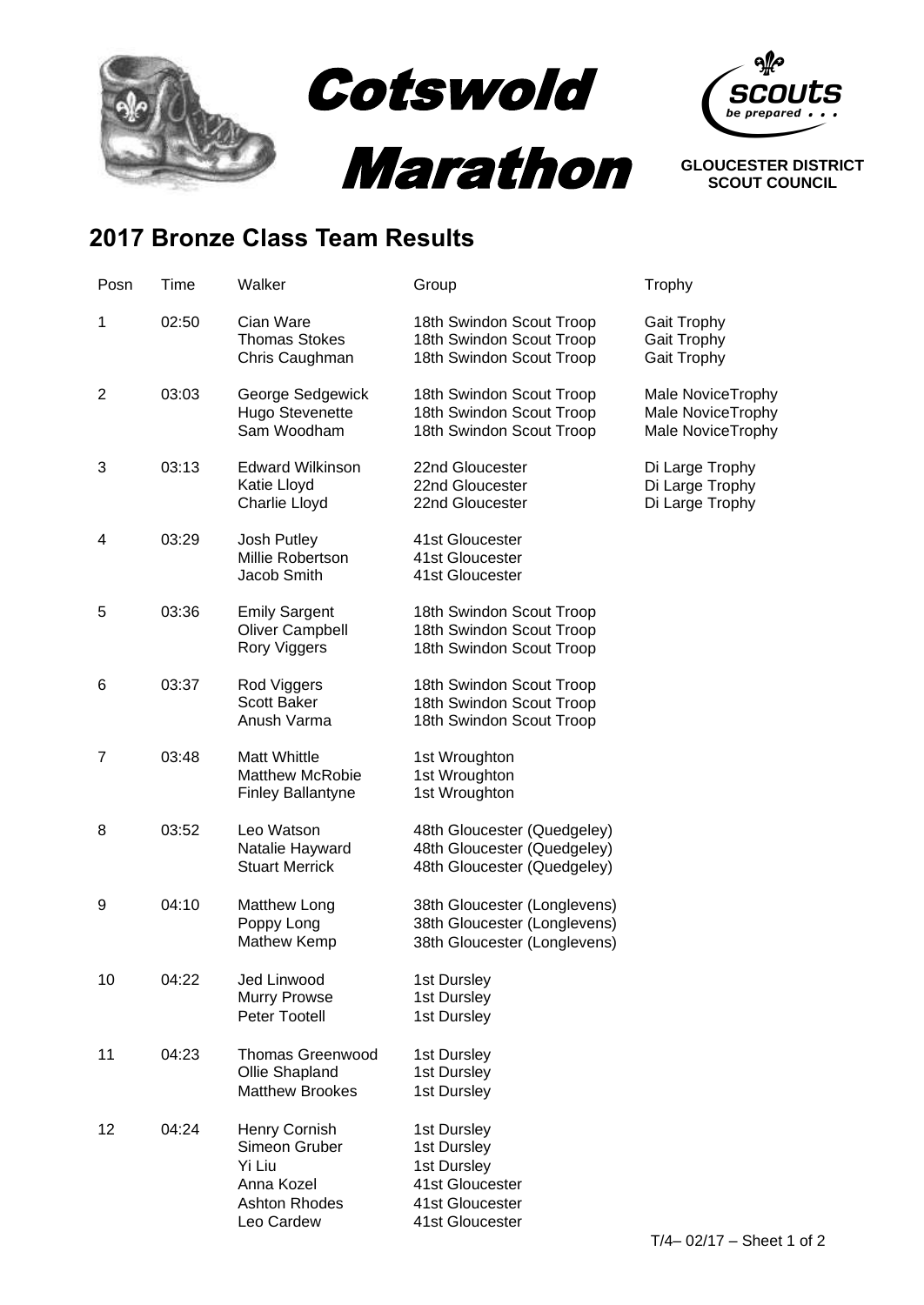

## **2017 Bronze Class Team Results**

| Posn           | Time  | Walker                                                                                       | Group                                                                                              | Trophy                                                      |
|----------------|-------|----------------------------------------------------------------------------------------------|----------------------------------------------------------------------------------------------------|-------------------------------------------------------------|
| 1              | 02:50 | Cian Ware<br><b>Thomas Stokes</b><br>Chris Caughman                                          | 18th Swindon Scout Troop<br>18th Swindon Scout Troop<br>18th Swindon Scout Troop                   | <b>Gait Trophy</b><br>Gait Trophy<br>Gait Trophy            |
| $\overline{2}$ | 03:03 | George Sedgewick<br><b>Hugo Stevenette</b><br>Sam Woodham                                    | 18th Swindon Scout Troop<br>18th Swindon Scout Troop<br>18th Swindon Scout Troop                   | Male NoviceTrophy<br>Male NoviceTrophy<br>Male NoviceTrophy |
| 3              | 03:13 | <b>Edward Wilkinson</b><br>Katie Lloyd<br>Charlie Lloyd                                      | 22nd Gloucester<br>22nd Gloucester<br>22nd Gloucester                                              | Di Large Trophy<br>Di Large Trophy<br>Di Large Trophy       |
| 4              | 03:29 | Josh Putley<br>Millie Robertson<br>Jacob Smith                                               | 41st Gloucester<br>41st Gloucester<br>41st Gloucester                                              |                                                             |
| 5              | 03:36 | <b>Emily Sargent</b><br><b>Oliver Campbell</b><br>Rory Viggers                               | 18th Swindon Scout Troop<br>18th Swindon Scout Troop<br>18th Swindon Scout Troop                   |                                                             |
| 6              | 03:37 | Rod Viggers<br><b>Scott Baker</b><br>Anush Varma                                             | 18th Swindon Scout Troop<br>18th Swindon Scout Troop<br>18th Swindon Scout Troop                   |                                                             |
| 7              | 03:48 | <b>Matt Whittle</b><br><b>Matthew McRobie</b><br><b>Finley Ballantyne</b>                    | 1st Wroughton<br>1st Wroughton<br>1st Wroughton                                                    |                                                             |
| 8              | 03:52 | Leo Watson<br>Natalie Hayward<br><b>Stuart Merrick</b>                                       | 48th Gloucester (Quedgeley)<br>48th Gloucester (Quedgeley)<br>48th Gloucester (Quedgeley)          |                                                             |
| 9              | 04:10 | Matthew Long<br>Poppy Long<br>Mathew Kemp                                                    | 38th Gloucester (Longlevens)<br>38th Gloucester (Longlevens)<br>38th Gloucester (Longlevens)       |                                                             |
| 10             | 04:22 | Jed Linwood<br>Murry Prowse<br>Peter Tootell                                                 | 1st Dursley<br>1st Dursley<br>1st Dursley                                                          |                                                             |
| 11             | 04:23 | <b>Thomas Greenwood</b><br>Ollie Shapland<br><b>Matthew Brookes</b>                          | 1st Dursley<br>1st Dursley<br>1st Dursley                                                          |                                                             |
| 12             | 04:24 | Henry Cornish<br>Simeon Gruber<br>Yi Liu<br>Anna Kozel<br><b>Ashton Rhodes</b><br>Leo Cardew | 1st Dursley<br>1st Dursley<br>1st Dursley<br>41st Gloucester<br>41st Gloucester<br>41st Gloucester |                                                             |